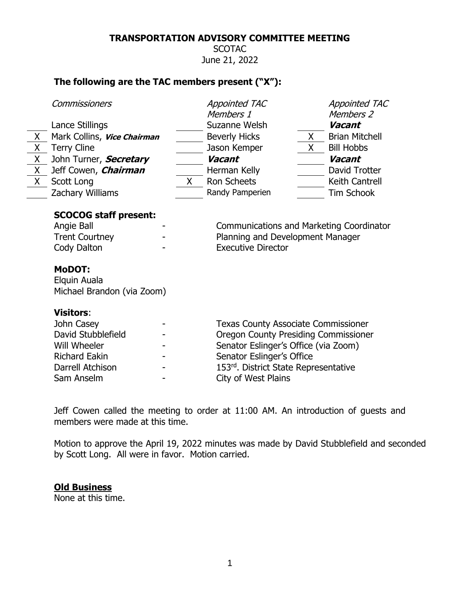#### **TRANSPORTATION ADVISORY COMMITTEE MEETING**

**SCOTAC** June 21, 2022

# **The following are the TAC members present ("X"):**

|    | Commissioners                                                                                                                                     |                           |                                                                                                           | <b>Appointed TAC</b><br>Members 1                                                   |       | <b>Appointed TAC</b><br>Members 2 |  |
|----|---------------------------------------------------------------------------------------------------------------------------------------------------|---------------------------|-----------------------------------------------------------------------------------------------------------|-------------------------------------------------------------------------------------|-------|-----------------------------------|--|
|    | Lance Stillings                                                                                                                                   |                           |                                                                                                           | Suzanne Welsh                                                                       |       | Vacant                            |  |
| X. | Mark Collins, Vice Chairman                                                                                                                       |                           |                                                                                                           | <b>Beverly Hicks</b>                                                                | X —   | <b>Brian Mitchell</b>             |  |
| X  | <b>Terry Cline</b>                                                                                                                                |                           |                                                                                                           | Jason Kemper                                                                        | $X -$ | <b>Bill Hobbs</b>                 |  |
| X  | John Turner, Secretary                                                                                                                            |                           |                                                                                                           | Vacant                                                                              |       | <b>Vacant</b>                     |  |
| X. | Jeff Cowen, <i>Chairman</i>                                                                                                                       |                           |                                                                                                           | Herman Kelly                                                                        |       | David Trotter                     |  |
| X. | Scott Long                                                                                                                                        |                           | $X_{-}$                                                                                                   | <b>Ron Scheets</b>                                                                  |       | Keith Cantrell                    |  |
|    | Zachary Williams                                                                                                                                  |                           |                                                                                                           | Randy Pamperien                                                                     |       | <b>Tim Schook</b>                 |  |
|    | <b>SCOCOG staff present:</b><br>Angie Ball<br><b>Trent Courtney</b><br>Cody Dalton<br><b>MoDOT:</b><br>Elquin Auala<br>Michael Brandon (via Zoom) |                           | Communications and Marketing Coordinator<br>Planning and Development Manager<br><b>Executive Director</b> |                                                                                     |       |                                   |  |
|    | <b>Visitors:</b>                                                                                                                                  |                           |                                                                                                           |                                                                                     |       |                                   |  |
|    | John Casey                                                                                                                                        |                           |                                                                                                           | <b>Texas County Associate Commissioner</b>                                          |       |                                   |  |
|    | David Stubblefield<br>Will Wheeler                                                                                                                |                           |                                                                                                           | <b>Oregon County Presiding Commissioner</b><br>Senator Eslinger's Office (via Zoom) |       |                                   |  |
|    |                                                                                                                                                   |                           |                                                                                                           |                                                                                     |       |                                   |  |
|    | <b>Richard Eakin</b>                                                                                                                              | Senator Eslinger's Office |                                                                                                           |                                                                                     |       |                                   |  |
|    | Darrell Atchison                                                                                                                                  |                           |                                                                                                           | 153rd. District State Representative                                                |       |                                   |  |
|    | Sam Anselm                                                                                                                                        |                           |                                                                                                           | City of West Plains                                                                 |       |                                   |  |

Jeff Cowen called the meeting to order at 11:00 AM. An introduction of guests and members were made at this time.

Motion to approve the April 19, 2022 minutes was made by David Stubblefield and seconded by Scott Long. All were in favor. Motion carried.

### **Old Business**

None at this time.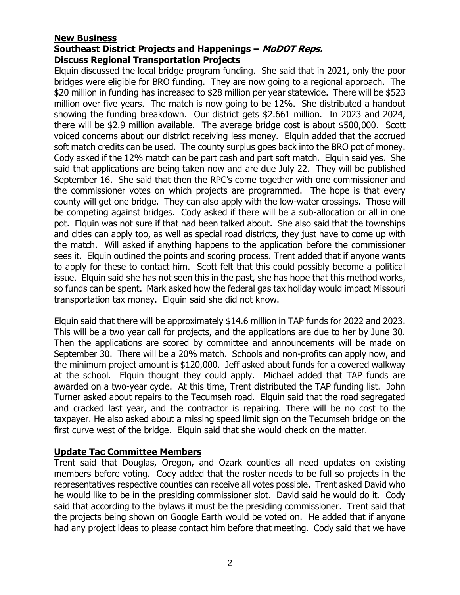### **New Business Southeast District Projects and Happenings – MoDOT Reps. Discuss Regional Transportation Projects**

Elquin discussed the local bridge program funding. She said that in 2021, only the poor bridges were eligible for BRO funding. They are now going to a regional approach. The \$20 million in funding has increased to \$28 million per year statewide. There will be \$523 million over five years. The match is now going to be 12%. She distributed a handout showing the funding breakdown. Our district gets \$2.661 million. In 2023 and 2024, there will be \$2.9 million available. The average bridge cost is about \$500,000. Scott voiced concerns about our district receiving less money. Elquin added that the accrued soft match credits can be used. The county surplus goes back into the BRO pot of money. Cody asked if the 12% match can be part cash and part soft match. Elguin said yes. She said that applications are being taken now and are due July 22. They will be published September 16. She said that then the RPC's come together with one commissioner and the commissioner votes on which projects are programmed. The hope is that every county will get one bridge. They can also apply with the low-water crossings. Those will be competing against bridges. Cody asked if there will be a sub-allocation or all in one pot. Elquin was not sure if that had been talked about. She also said that the townships and cities can apply too, as well as special road districts, they just have to come up with the match. Will asked if anything happens to the application before the commissioner sees it. Elquin outlined the points and scoring process. Trent added that if anyone wants to apply for these to contact him. Scott felt that this could possibly become a political issue. Elquin said she has not seen this in the past, she has hope that this method works, so funds can be spent. Mark asked how the federal gas tax holiday would impact Missouri transportation tax money. Elquin said she did not know.

Elquin said that there will be approximately \$14.6 million in TAP funds for 2022 and 2023. This will be a two year call for projects, and the applications are due to her by June 30. Then the applications are scored by committee and announcements will be made on September 30. There will be a 20% match. Schools and non-profits can apply now, and the minimum project amount is \$120,000. Jeff asked about funds for a covered walkway at the school. Elquin thought they could apply. Michael added that TAP funds are awarded on a two-year cycle. At this time, Trent distributed the TAP funding list. John Turner asked about repairs to the Tecumseh road. Elquin said that the road segregated and cracked last year, and the contractor is repairing. There will be no cost to the taxpayer. He also asked about a missing speed limit sign on the Tecumseh bridge on the first curve west of the bridge. Elquin said that she would check on the matter.

## **Update Tac Committee Members**

Trent said that Douglas, Oregon, and Ozark counties all need updates on existing members before voting. Cody added that the roster needs to be full so projects in the representatives respective counties can receive all votes possible. Trent asked David who he would like to be in the presiding commissioner slot. David said he would do it. Cody said that according to the bylaws it must be the presiding commissioner. Trent said that the projects being shown on Google Earth would be voted on. He added that if anyone had any project ideas to please contact him before that meeting. Cody said that we have